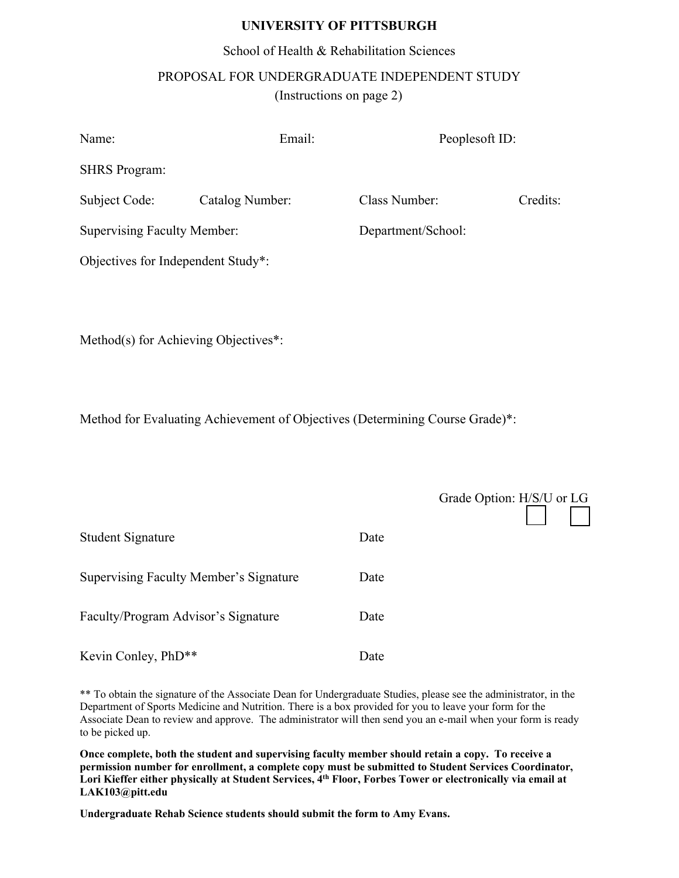#### **UNIVERSITY OF PITTSBURGH**

# School of Health & Rehabilitation Sciences PROPOSAL FOR UNDERGRADUATE INDEPENDENT STUDY (Instructions on page 2)

| Name:                              | Email:          | Peoplesoft ID:     |          |
|------------------------------------|-----------------|--------------------|----------|
| <b>SHRS</b> Program:               |                 |                    |          |
| Subject Code:                      | Catalog Number: | Class Number:      | Credits: |
| <b>Supervising Faculty Member:</b> |                 | Department/School: |          |
| Objectives for Independent Study*: |                 |                    |          |

Method(s) for Achieving Objectives\*:

Method for Evaluating Achievement of Objectives (Determining Course Grade)\*:

|                                        |      | Grade Option: H/S/U or LG |
|----------------------------------------|------|---------------------------|
| <b>Student Signature</b>               | Date |                           |
| Supervising Faculty Member's Signature | Date |                           |
| Faculty/Program Advisor's Signature    | Date |                           |
| Kevin Conley, PhD**                    | Date |                           |

\*\* To obtain the signature of the Associate Dean for Undergraduate Studies, please see the administrator, in the Department of Sports Medicine and Nutrition. There is a box provided for you to leave your form for the Associate Dean to review and approve. The administrator will then send you an e-mail when your form is ready to be picked up.

**Once complete, both the student and supervising faculty member should retain a copy. To receive a permission number for enrollment, a complete copy must be submitted to [Student Services Coo](mailto:Jordan.ulrich@pitt.edu)rdinator, Lori Kieffer either physically at Student Services, 4 th Floor, Forbes Tower or electronically via email at LAK103@pitt.edu**

**Undergraduate Rehab Science students should submit the form to Amy Evans.**